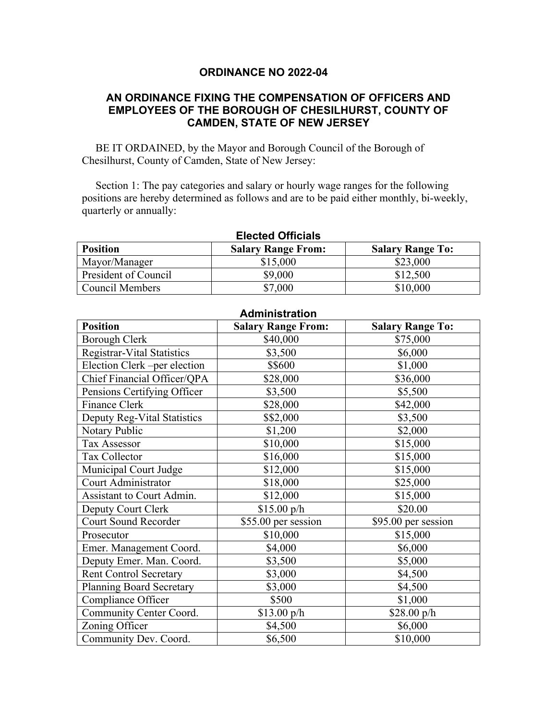### **ORDINANCE NO 2022-04**

### **AN ORDINANCE FIXING THE COMPENSATION OF OFFICERS AND EMPLOYEES OF THE BOROUGH OF CHESILHURST, COUNTY OF CAMDEN, STATE OF NEW JERSEY**

 BE IT ORDAINED, by the Mayor and Borough Council of the Borough of Chesilhurst, County of Camden, State of New Jersey:

 Section 1: The pay categories and salary or hourly wage ranges for the following positions are hereby determined as follows and are to be paid either monthly, bi-weekly, quarterly or annually:

| <b>Elected Officials</b> |                           |                         |  |  |
|--------------------------|---------------------------|-------------------------|--|--|
| <b>Position</b>          | <b>Salary Range From:</b> | <b>Salary Range To:</b> |  |  |
| Mayor/Manager            | \$15,000                  | \$23,000                |  |  |
| President of Council     | \$9,000                   | \$12,500                |  |  |
| Council Members          | \$7,000                   | \$10,000                |  |  |

| <b>Administration</b>             |                           |                         |  |  |
|-----------------------------------|---------------------------|-------------------------|--|--|
| <b>Position</b>                   | <b>Salary Range From:</b> | <b>Salary Range To:</b> |  |  |
| <b>Borough Clerk</b>              | \$40,000                  | \$75,000                |  |  |
| <b>Registrar-Vital Statistics</b> | \$3,500                   | \$6,000                 |  |  |
| Election Clerk -per election      | \$\$600                   | \$1,000                 |  |  |
| Chief Financial Officer/QPA       | \$28,000                  | \$36,000                |  |  |
| Pensions Certifying Officer       | \$3,500                   | \$5,500                 |  |  |
| Finance Clerk                     | \$28,000                  | \$42,000                |  |  |
| Deputy Reg-Vital Statistics       | \$\$2,000                 | \$3,500                 |  |  |
| Notary Public                     | \$1,200                   | \$2,000                 |  |  |
| Tax Assessor                      | \$10,000                  | \$15,000                |  |  |
| Tax Collector                     | \$16,000                  | \$15,000                |  |  |
| Municipal Court Judge             | \$12,000                  | \$15,000                |  |  |
| Court Administrator               | \$18,000                  | \$25,000                |  |  |
| Assistant to Court Admin.         | \$12,000                  | \$15,000                |  |  |
| Deputy Court Clerk                | \$15.00 p/h               | \$20.00                 |  |  |
| <b>Court Sound Recorder</b>       | \$55.00 per session       | $$95.00$ per session    |  |  |
| Prosecutor                        | \$10,000                  | \$15,000                |  |  |
| Emer. Management Coord.           | \$4,000                   | \$6,000                 |  |  |
| Deputy Emer. Man. Coord.          | \$3,500                   | \$5,000                 |  |  |
| <b>Rent Control Secretary</b>     | \$3,000                   | \$4,500                 |  |  |
| <b>Planning Board Secretary</b>   | \$3,000                   | \$4,500                 |  |  |
| Compliance Officer                | \$500                     | \$1,000                 |  |  |
| Community Center Coord.           | $$13.00\text{ p/h}$       | $$28.00\text{ p/h}$     |  |  |
| Zoning Officer                    | \$4,500                   | \$6,000                 |  |  |
| Community Dev. Coord.             | \$6,500                   | \$10,000                |  |  |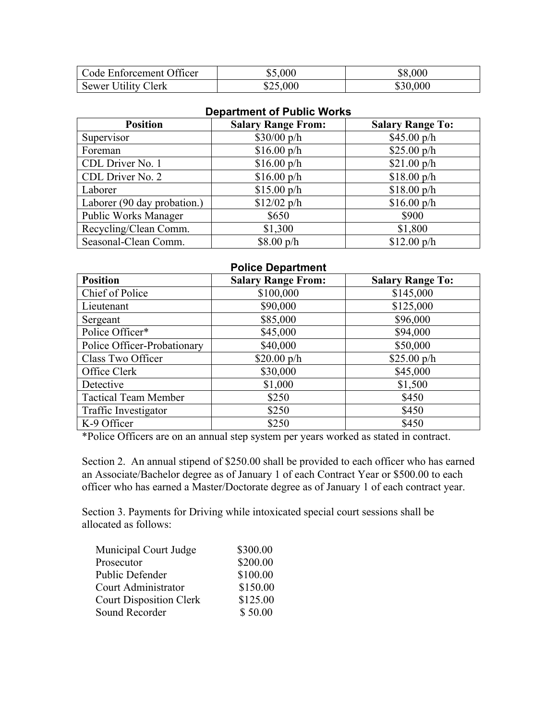| Code Enforcement Officer   | \$5,000  | \$8,000  |
|----------------------------|----------|----------|
| <b>Sewer Utility Clerk</b> | \$25,000 | \$30,000 |

#### **Department of Public Works**

| <b>Position</b>             | <b>Salary Range From:</b> | <b>Salary Range To:</b> |
|-----------------------------|---------------------------|-------------------------|
| Supervisor                  | $$30/00$ p/h              | $$45.00\text{ p/h}$     |
| Foreman                     | $$16.00\text{ p/h}$       | $$25.00\text{ p/h}$     |
| CDL Driver No. 1            | $$16.00\text{ p/h}$       | $$21.00\text{ p/h}$     |
| CDL Driver No. 2            | $$16.00\text{ p/h}$       | $$18.00\text{ p/h}$     |
| Laborer                     | $$15.00\text{ p/h}$       | $$18.00\text{ p/h}$     |
| Laborer (90 day probation.) | $$12/02$ p/h              | $$16.00\text{ p/h}$     |
| <b>Public Works Manager</b> | \$650                     | \$900                   |
| Recycling/Clean Comm.       | \$1,300                   | \$1,800                 |
| Seasonal-Clean Comm.        | $$8.00\,\mathrm{p}/h$     | $$12.00\text{ p/h}$     |

# **Police Department Position Salary Range From: Salary Range To: Salary Range To:** Chief of Police 8100,000 \$145,000 Lieutenant 1 \$90,000 \$125,000 Sergeant 1 \$85,000 \$96,000 Police Officer\* 1 \$45,000 \$94,000 Police Officer-Probationary | \$40,000  $\vert$  \$50,000  $\overline{\text{Class Two Officer}}$  \$20.00 p/h \$25.00 p/h \$25.00 p/h Office Clerk 1 830,000 \$45,000 Detective 1.000 \$1,500 Tactical Team Member  $$250$   $$450$ Traffic Investigator  $$250$  \$450  $K-9$  Officer  $$250$   $$450$

\*Police Officers are on an annual step system per years worked as stated in contract.

Section 2. An annual stipend of \$250.00 shall be provided to each officer who has earned an Associate/Bachelor degree as of January 1 of each Contract Year or \$500.00 to each officer who has earned a Master/Doctorate degree as of January 1 of each contract year.

Section 3. Payments for Driving while intoxicated special court sessions shall be allocated as follows:

| Municipal Court Judge          | \$300.00 |
|--------------------------------|----------|
| Prosecutor                     | \$200.00 |
| Public Defender                | \$100.00 |
| Court Administrator            | \$150.00 |
| <b>Court Disposition Clerk</b> | \$125.00 |
| Sound Recorder                 | \$50.00  |